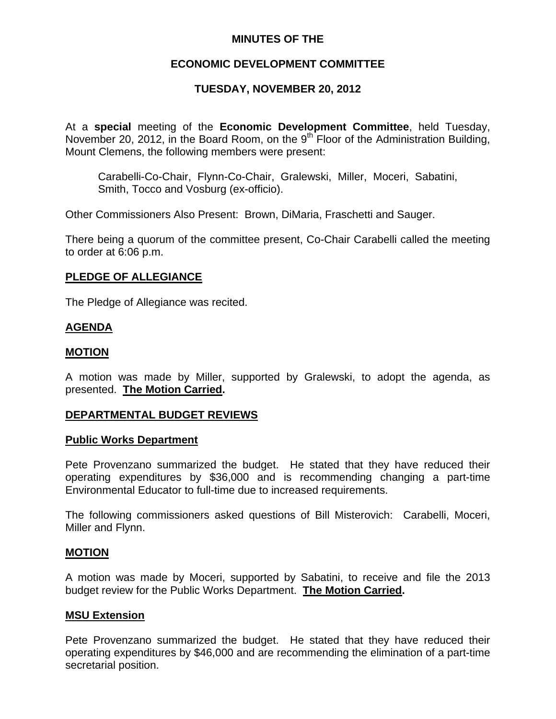# **MINUTES OF THE**

# **ECONOMIC DEVELOPMENT COMMITTEE**

# **TUESDAY, NOVEMBER 20, 2012**

At a **special** meeting of the **Economic Development Committee**, held Tuesday, November 20, 2012, in the Board Room, on the  $9<sup>th</sup>$  Floor of the Administration Building, Mount Clemens, the following members were present:

Carabelli-Co-Chair, Flynn-Co-Chair, Gralewski, Miller, Moceri, Sabatini, Smith, Tocco and Vosburg (ex-officio).

Other Commissioners Also Present: Brown, DiMaria, Fraschetti and Sauger.

There being a quorum of the committee present, Co-Chair Carabelli called the meeting to order at 6:06 p.m.

### **PLEDGE OF ALLEGIANCE**

The Pledge of Allegiance was recited.

## **AGENDA**

### **MOTION**

A motion was made by Miller, supported by Gralewski, to adopt the agenda, as presented. **The Motion Carried.** 

### **DEPARTMENTAL BUDGET REVIEWS**

#### **Public Works Department**

Pete Provenzano summarized the budget. He stated that they have reduced their operating expenditures by \$36,000 and is recommending changing a part-time Environmental Educator to full-time due to increased requirements.

The following commissioners asked questions of Bill Misterovich: Carabelli, Moceri, Miller and Flynn.

### **MOTION**

A motion was made by Moceri, supported by Sabatini, to receive and file the 2013 budget review for the Public Works Department. **The Motion Carried.** 

#### **MSU Extension**

Pete Provenzano summarized the budget. He stated that they have reduced their operating expenditures by \$46,000 and are recommending the elimination of a part-time secretarial position.